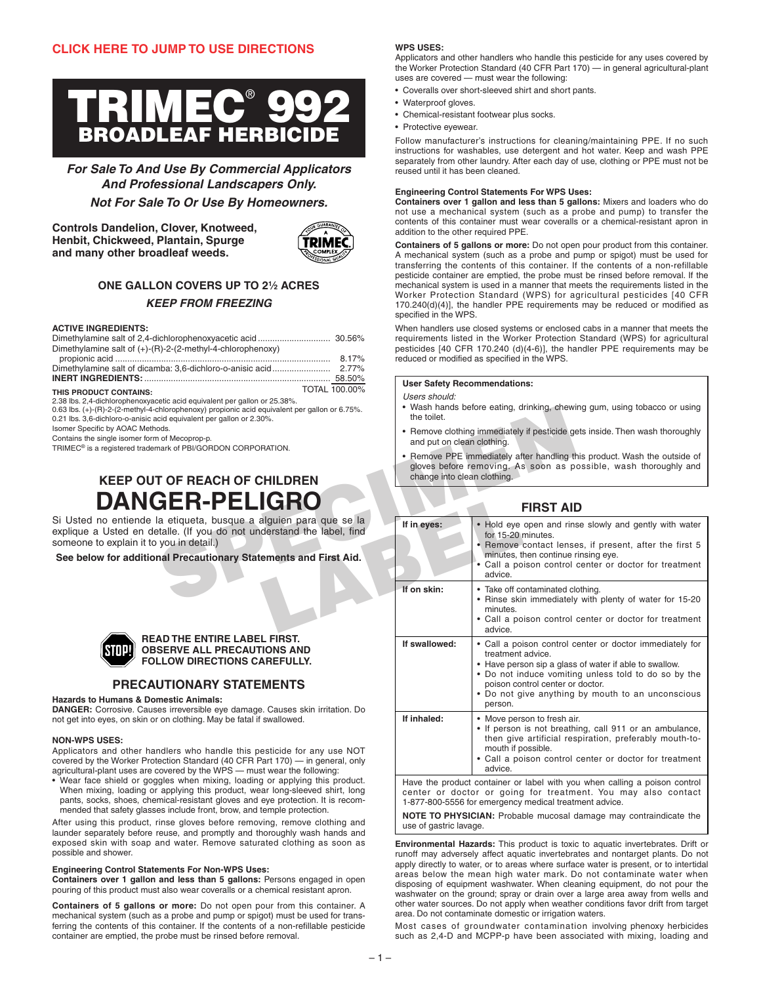

**For Sale To And Use By Commercial Applicators And Professional Landscapers Only.**

**Not For Sale To Or Use By Homeowners.**

**Controls Dandelion, Clover, Knotweed, Henbit, Chickweed, Plantain, Spurge and many other broadleaf weeds.**



# **ONE GALLON COVERS UP TO 21⁄2 ACRES KEEP FROM FREEZING**

### **ACTIVE INGREDIENTS:**

| Dimethylamine salt of (+)-(R)-2-(2-methyl-4-chlorophenoxy) |        |
|------------------------------------------------------------|--------|
|                                                            | 8.17%  |
|                                                            |        |
|                                                            | 58.50% |

THIS PRODUCT CONTAINS: THIS PRODUCT CONTAINS:

2.38 lbs. 2,4-dichlorophenoxyacetic acid equivalent per gallon or 25.38%.

0.63 lbs. (+)-(R)-2-(2-methyl-4-chlorophenoxy) propionic acid equivalent per gallon or 6.75%. 0.21 lbs. 3,6-dichloro-o-anisic acid equivalent per gallon or 2.30%.

Isomer Specific by AOAC Methods.

Contains the single isomer form of Mecoprop-p.

TRIMEC® is a registered trademark of PBI/GORDON CORPORATION.

# **KEEP OUT OF REACH OF CHILDREN DANGER-PELIGR**

Si Usted no entiende la etiqueta, busque a alguien para que se la explique a Usted en detalle. (If you do not understand the label, find someone to explain it to you in detail.)

**See below for additional Precautionary Statements and First Aid.**



### **READ THE ENTIRE LABEL FIRST. OBSERVE ALL PRECAUTIONS AND FOLLOW DIRECTIONS CAREFULLY.**

# **PRECAUTIONARY STATEMENTS**

# **Hazards to Humans & Domestic Animals:**

**DANGER:** Corrosive. Causes irreversible eye damage. Causes skin irritation. Do not get into eyes, on skin or on clothing. May be fatal if swallowed.

### **NON-WPS USES:**

Applicators and other handlers who handle this pesticide for any use NOT covered by the Worker Protection Standard (40 CFR Part 170) — in general, only agricultural-plant uses are covered by the WPS — must wear the following:

• Wear face shield or goggles when mixing, loading or applying this product. When mixing, loading or applying this product, wear long-sleeved shirt, long pants, socks, shoes, chemical-resistant gloves and eye protection. It is recommended that safety glasses include front, brow, and temple protection.

After using this product, rinse gloves before removing, remove clothing and launder separately before reuse, and promptly and thoroughly wash hands and exposed skin with soap and water. Remove saturated clothing as soon as possible and shower.

# **Engineering Control Statements For Non-WPS Uses:**

**Containers over 1 gallon and less than 5 gallons:** Persons engaged in open pouring of this product must also wear coveralls or a chemical resistant apron.

**Containers of 5 gallons or more:** Do not open pour from this container. A mechanical system (such as a probe and pump or spigot) must be used for transferring the contents of this container. If the contents of a non-refillable pesticide container are emptied, the probe must be rinsed before removal.

## **WPS USES:**

Applicators and other handlers who handle this pesticide for any uses covered by the Worker Protection Standard (40 CFR Part 170) — in general agricultural-plant uses are covered — must wear the following:

- Coveralls over short-sleeved shirt and short pants.
- Waterproof gloves.
- Chemical-resistant footwear plus socks.
- Protective eyewear.

Follow manufacturer's instructions for cleaning/maintaining PPE. If no such instructions for washables, use detergent and hot water. Keep and wash PPE separately from other laundry. After each day of use, clothing or PPE must not be reused until it has been cleaned.

### **Engineering Control Statements For WPS Uses:**

**Containers over 1 gallon and less than 5 gallons:** Mixers and loaders who do not use a mechanical system (such as a probe and pump) to transfer the contents of this container must wear coveralls or a chemical-resistant apron in addition to the other required PPE.

**Containers of 5 gallons or more:** Do not open pour product from this container. A mechanical system (such as a probe and pump or spigot) must be used for transferring the contents of this container. If the contents of a non-refillable pesticide container are emptied, the probe must be rinsed before removal. If the mechanical system is used in a manner that meets the requirements listed in the Worker Protection Standard (WPS) for agricultural pesticides [40 CFR 170.240(d)(4)], the handler PPE requirements may be reduced or modified as specified in the WPS.

When handlers use closed systems or enclosed cabs in a manner that meets the requirements listed in the Worker Protection Standard (WPS) for agricultural pesticides [40 CFR 170.240 (d)(4-6)], the handler PPE requirements may be reduced or modified as specified in the WPS.

### **User Safety Recommendations:**

Users should:

- Wash hands before eating, drinking, chewing gum, using tobacco or using the toilet.
- Remove clothing immediately if pesticide gets inside. Then wash thoroughly and put on clean clothing.
- Remove PPE immediately after handling this product. Wash the outside of gloves before removing. As soon as possible, wash thoroughly and change into clean clothing.

# **FIRST AID**

| chlorophenoxy) propionic acid equivalent per gallon or 6.75%.<br>cid equivalent per gallon or 2.30%.                                                         | • wasn nangs before eating, grinking, chewing gum, using tobacco or using<br>the toilet.                                                                                     |                                                                                                                                                                                                                                  |  |
|--------------------------------------------------------------------------------------------------------------------------------------------------------------|------------------------------------------------------------------------------------------------------------------------------------------------------------------------------|----------------------------------------------------------------------------------------------------------------------------------------------------------------------------------------------------------------------------------|--|
| ods.<br>of Mecoprop-p.<br>nark of PBI/GORDON CORPORATION.                                                                                                    | • Remove clothing immediately if pesticide gets inside. Then wash thoroughly<br>and put on clean clothing.                                                                   |                                                                                                                                                                                                                                  |  |
| <b>T OF REACH OF CHILDREN</b>                                                                                                                                | • Remove PPE immediately after handling this product. Wash the outside of<br>gloves before removing. As soon as possible, wash thoroughly and<br>change into clean clothing. |                                                                                                                                                                                                                                  |  |
| <b>GER-PELIGRO</b>                                                                                                                                           |                                                                                                                                                                              | <b>FIRST AID</b>                                                                                                                                                                                                                 |  |
| a etiqueta, busque a alguien para que se la<br>talle. (If you do not understand the label, find<br>you in detail.)                                           | If in eyes:                                                                                                                                                                  | • Hold eye open and rinse slowly and gently with water<br>for 15-20 minutes.<br>• Remove contact lenses, if present, after the first 5<br>minutes, then continue rinsing eye.                                                    |  |
| nal Precautionary Statements and First Aid.                                                                                                                  |                                                                                                                                                                              | • Call a poison control center or doctor for treatment<br>advice.                                                                                                                                                                |  |
|                                                                                                                                                              | If on skin:                                                                                                                                                                  | • Take off contaminated clothing.<br>• Rinse skin immediately with plenty of water for 15-20<br>minutes.<br>• Call a poison control center or doctor for treatment<br>advice.                                                    |  |
| AD THE ENTIRE LABEL FIRST.<br><b>SERVE ALL PRECAUTIONS AND</b><br><b>LLOW DIRECTIONS CAREFULLY.</b>                                                          | If swallowed:                                                                                                                                                                | • Call a poison control center or doctor immediately for<br>treatment advice.<br>• Have person sip a glass of water if able to swallow.<br>• Do not induce vomiting unless told to do so by the                                  |  |
| UTIONARY STATEMENTS<br>mestic Animals:<br>es irreversible eye damage. Causes skin irritation. Do                                                             |                                                                                                                                                                              | poison control center or doctor.<br>• Do not give anything by mouth to an unconscious<br>person.                                                                                                                                 |  |
| on clothing. May be fatal if swallowed.<br>ndlers who handle this pesticide for any use NOT                                                                  | If inhaled:                                                                                                                                                                  | • Move person to fresh air.<br>• If person is not breathing, call 911 or an ambulance,<br>then give artificial respiration, preferably mouth-to-<br>mouth if possible.<br>• Call a poison control center or doctor for treatment |  |
| ection Standard (40 CFR Part 170) - in general, only<br>covered by the WPS - must wear the following:<br>gles when mixing, loading or applying this product. |                                                                                                                                                                              | advice.<br>Have the product container or label with you when calling a poison control                                                                                                                                            |  |
| applying this product, wear long-sleeved shirt, long                                                                                                         |                                                                                                                                                                              | center or doctor or going for treatment. You may also contact                                                                                                                                                                    |  |

1-877-800-5556 for emergency medical treatment advice. **NOTE TO PHYSICIAN:** Probable mucosal damage may contraindicate the

use of gastric lavage.

**Environmental Hazards:** This product is toxic to aquatic invertebrates. Drift or runoff may adversely affect aquatic invertebrates and nontarget plants. Do not apply directly to water, or to areas where surface water is present, or to intertidal areas below the mean high water mark. Do not contaminate water when disposing of equipment washwater. When cleaning equipment, do not pour the washwater on the ground; spray or drain over a large area away from wells and other water sources. Do not apply when weather conditions favor drift from target area. Do not contaminate domestic or irrigation waters.

Most cases of groundwater contamination involving phenoxy herbicides such as 2,4-D and MCPP-p have been associated with mixing, loading and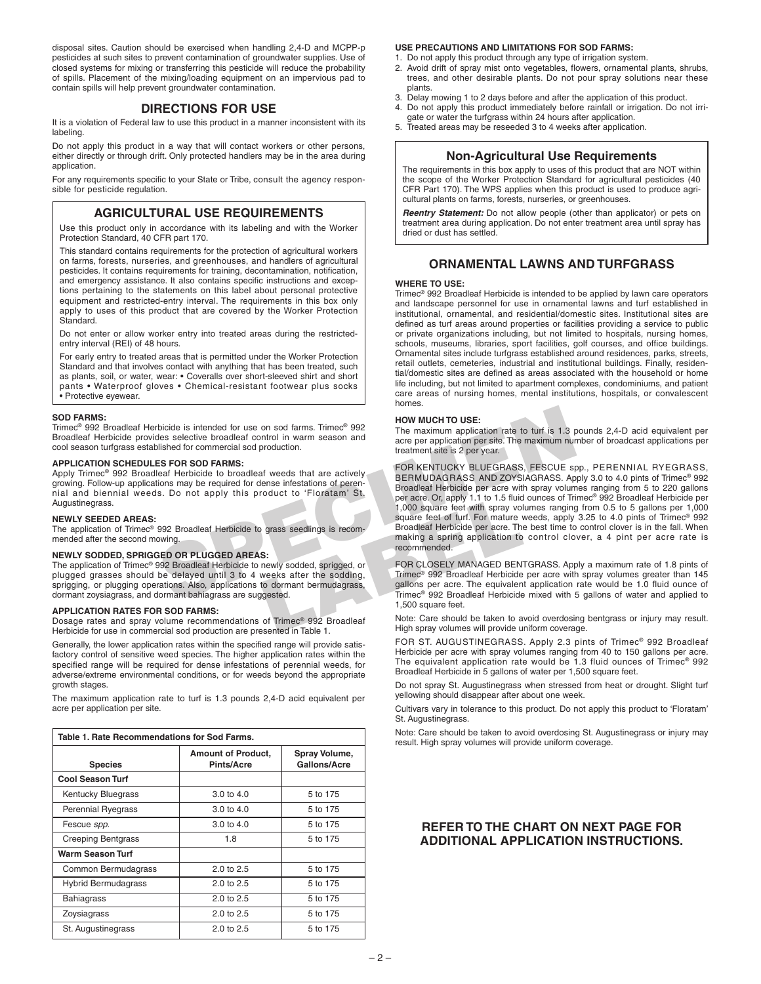disposal sites. Caution should be exercised when handling 2,4-D and MCPP-p pesticides at such sites to prevent contamination of groundwater supplies. Use of closed systems for mixing or transferring this pesticide will reduce the probability of spills. Placement of the mixing/loading equipment on an impervious pad to contain spills will help prevent groundwater contamination.

# **DIRECTIONS FOR USE**

It is a violation of Federal law to use this product in a manner inconsistent with its labeling.

Do not apply this product in a way that will contact workers or other persons, either directly or through drift. Only protected handlers may be in the area during application.

For any requirements specific to your State or Tribe, consult the agency responsible for pesticide regulation.

# **AGRICULTURAL USE REQUIREMENTS**

Use this product only in accordance with its labeling and with the Worker Protection Standard, 40 CFR part 170.

This standard contains requirements for the protection of agricultural workers on farms, forests, nurseries, and greenhouses, and handlers of agricultural pesticides. It contains requirements for training, decontamination, notification, and emergency assistance. It also contains specific instructions and exceptions pertaining to the statements on this label about personal protective equipment and restricted-entry interval. The requirements in this box only apply to uses of this product that are covered by the Worker Protection Standard.

Do not enter or allow worker entry into treated areas during the restrictedentry interval (REI) of 48 hours.

For early entry to treated areas that is permitted under the Worker Protection Standard and that involves contact with anything that has been treated, such as plants, soil, or water, wear: • Coveralls over short-sleeved shirt and short pants • Waterproof gloves • Chemical-resistant footwear plus socks • Protective eyewear.

### **SOD FARMS:**

Trimec® 992 Broadleaf Herbicide is intended for use on sod farms. Trimec® 992 Broadleaf Herbicide provides selective broadleaf control in warm season and cool season turfgrass established for commercial sod production.

# **APPLICATION SCHEDULES FOR SOD FARMS:**

Apply Trimec® 992 Broadleaf Herbicide to broadleaf weeds that are actively growing. Follow-up applications may be required for dense infestations of perennial and biennial weeds. Do not apply this product to 'Floratam' St. Augustinegrass

**NEWLY SEEDED AREAS:** The application of Trimec® 992 Broadleaf Herbicide to grass seedlings is recommended after the second mowing.

# **NEWLY SODDED, SPRIGGED OR PLUGGED AREAS:**

The application of Trimec® 992 Broadleaf Herbicide to newly sodded, sprigged, or plugged grasses should be delayed until 3 to 4 weeks after the sodding, sprigging, or plugging operations. Also, applications to dormant bermudagrass. dormant zoysiagrass, and dormant bahiagrass are suggested.

### **APPLICATION RATES FOR SOD FARMS:**

Dosage rates and spray volume recommendations of Trimec® 992 Broadleaf Herbicide for use in commercial sod production are presented in Table 1.

Generally, the lower application rates within the specified range will provide satisfactory control of sensitive weed species. The higher application rates within the specified range will be required for dense infestations of perennial weeds, for adverse/extreme environmental conditions, or for weeds beyond the appropriate growth stages.

The maximum application rate to turf is 1.3 pounds 2,4-D acid equivalent per acre per application per site.

| Table 1. Rate Recommendations for Sod Farms. |                                                |                               |  |
|----------------------------------------------|------------------------------------------------|-------------------------------|--|
| <b>Species</b>                               | <b>Amount of Product,</b><br><b>Pints/Acre</b> | Spray Volume,<br>Gallons/Acre |  |
| <b>Cool Season Turf</b>                      |                                                |                               |  |
| Kentucky Bluegrass                           | 3.0 to 4.0                                     | 5 to 175                      |  |
| <b>Perennial Ryegrass</b>                    | $3.0 \text{ to } 4.0$                          | 5 to 175                      |  |
| Fescue spp.                                  | 3.0 to 4.0                                     | 5 to 175                      |  |
| <b>Creeping Bentgrass</b>                    | 1.8                                            | 5 to 175                      |  |
| <b>Warm Season Turf</b>                      |                                                |                               |  |
| Common Bermudagrass                          | 2.0 to 2.5                                     | 5 to 175                      |  |
| <b>Hybrid Bermudagrass</b>                   | $2.0 \text{ to } 2.5$                          | 5 to 175                      |  |
| <b>Bahiagrass</b>                            | $2.0$ to $2.5$                                 | 5 to 175                      |  |
| Zoysiagrass                                  | 2.0 to 2.5                                     | 5 to 175                      |  |
| St. Augustinegrass                           | 2.0 to 2.5                                     | 5 to 175                      |  |

## **USE PRECAUTIONS AND LIMITATIONS FOR SOD FARMS:**

- 1. Do not apply this product through any type of irrigation system. 2. Avoid drift of spray mist onto vegetables, flowers, ornamental plants, shrubs, trees, and other desirable plants. Do not pour spray solutions near these plants.
- 3. Delay mowing 1 to 2 days before and after the application of this product.
- 4. Do not apply this product immediately before rainfall or irrigation. Do not irrigate or water the turfgrass within 24 hours after application.
- 5. Treated areas may be reseeded 3 to 4 weeks after application.

# **Non-Agricultural Use Requirements**

The requirements in this box apply to uses of this product that are NOT within the scope of the Worker Protection Standard for agricultural pesticides (40 CFR Part 170). The WPS applies when this product is used to produce agricultural plants on farms, forests, nurseries, or greenhouses.

**Reentry Statement:** Do not allow people (other than applicator) or pets on treatment area during application. Do not enter treatment area until spray has dried or dust has settled.

# **ORNAMENTAL LAWNS AND TURFGRASS**

### **WHERE TO USE:**

Trimec® 992 Broadleaf Herbicide is intended to be applied by lawn care operators and landscape personnel for use in ornamental lawns and turf established in institutional, ornamental, and residential/domestic sites. Institutional sites are defined as turf areas around properties or facilities providing a service to public or private organizations including, but not limited to hospitals, nursing homes, schools, museums, libraries, sport facilities, golf courses, and office buildings. Ornamental sites include turfgrass established around residences, parks, streets, retail outlets, cemeteries, industrial and institutional buildings. Finally, residential/domestic sites are defined as areas associated with the household or home life including, but not limited to apartment complexes, condominiums, and patient care areas of nursing homes, mental institutions, hospitals, or convalescent homes.

### **HOW MUCH TO USE:**

The maximum application rate to turf is 1.3 pounds 2,4-D acid equivalent per acre per application per site. The maximum number of broadcast applications per treatment site is 2 per year.

From the state of the the state of the state of the state of the state of the maximum application rate to turk is 1.3 and the state of the maximum season and the maximum application per site. The maximum num treatment site France Cor, apply 1.1 to 1.5 fluid<br>
1,000 square feet with spray vol<br>
grass seedlings is recom-<br>
Simon and a pring a principle are to turk For matter<br>
Simon and a spring a principle and the matter of turk of<br>
making a spri FOR KENTUCKY BLUEGRASS, FESCUE spp., PERENNIAL RYEGRASS, BERMUDAGRASS AND ZOYSIAGRASS. Apply 3.0 to 4.0 pints of Trimec® 992 Broadleaf Herbicide per acre with spray volumes ranging from 5 to 220 gallons per acre. Or, apply 1.1 to 1.5 fluid ounces of Trimec® 992 Broadleaf Herbicide per 1,000 square feet with spray volumes ranging from 0.5 to 5 gallons per 1,000 square feet of turf. For mature weeds, apply 3.25 to 4.0 pints of Trimec® 992 Broadleaf Herbicide per acre. The best time to control clover is in the fall. When making a spring application to control clover, a 4 pint per acre rate is recommended.

FOR CLOSELY MANAGED BENTGRASS. Apply a maximum rate of 1.8 pints of Trimec® 992 Broadleaf Herbicide per acre with spray volumes greater than 145 gallons per acre. The equivalent application rate would be 1.0 fluid ounce of Trimec® 992 Broadleaf Herbicide mixed with 5 gallons of water and applied to 1,500 square feet.

Note: Care should be taken to avoid overdosing bentgrass or injury may result. High spray volumes will provide uniform coverage.

FOR ST. AUGUSTINEGRASS. Apply 2.3 pints of Trimec® 992 Broadleaf Herbicide per acre with spray volumes ranging from 40 to 150 gallons per acre. The equivalent application rate would be 1.3 fluid ounces of Trimec® 992 Broadleaf Herbicide in 5 gallons of water per 1,500 square feet.

Do not spray St. Augustinegrass when stressed from heat or drought. Slight turf yellowing should disappear after about one week.

Cultivars vary in tolerance to this product. Do not apply this product to 'Floratam' St. Augustinegrass.

Note: Care should be taken to avoid overdosing St. Augustinegrass or injury may result. High spray volumes will provide uniform coverage.

# **REFER TO THE CHART ON NEXT PAGE FOR ADDITIONAL APPLICATION INSTRUCTIONS.**